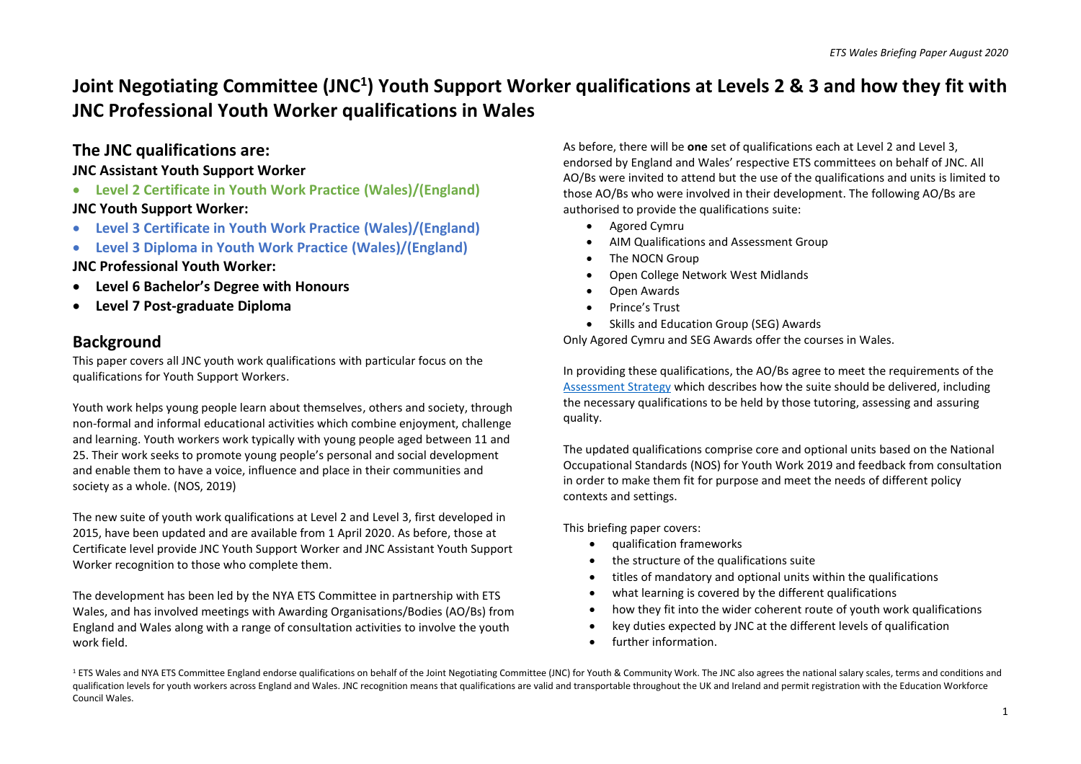# **Joint Negotiating Committee (JNC<sup>1</sup> ) Youth Support Worker qualifications at Levels 2 & 3 and how they fit with JNC Professional Youth Worker qualifications in Wales**

### **The JNC qualifications are:**

### **JNC Assistant Youth Support Worker**

- **Level 2 Certificate in Youth Work Practice (Wales)/(England) JNC Youth Support Worker:**
- **Level 3 Certificate in Youth Work Practice (Wales)/(England)**
- **Level 3 Diploma in Youth Work Practice (Wales)/(England) JNC Professional Youth Worker:**
- **Level 6 Bachelor's Degree with Honours**
- **Level 7 Post-graduate Diploma**

### **Background**

This paper covers all JNC youth work qualifications with particular focus on the qualifications for Youth Support Workers.

Youth work helps young people learn about themselves, others and society, through non-formal and informal educational activities which combine enjoyment, challenge and learning. Youth workers work typically with young people aged between 11 and 25. Their work seeks to promote young people's personal and social development and enable them to have a voice, influence and place in their communities and society as a whole. (NOS, 2019)

The new suite of youth work qualifications at Level 2 and Level 3, first developed in 2015, have been updated and are available from 1 April 2020. As before, those at Certificate level provide JNC Youth Support Worker and JNC Assistant Youth Support Worker recognition to those who complete them.

The development has been led by the NYA ETS Committee in partnership with ETS Wales, and has involved meetings with Awarding Organisations/Bodies (AO/Bs) from England and Wales along with a range of consultation activities to involve the youth work field.

As before, there will be **one** set of qualifications each at Level 2 and Level 3, endorsed by England and Wales' respective ETS committees on behalf of JNC. All AO/Bs were invited to attend but the use of the qualifications and units is limited to those AO/Bs who were involved in their development. The following AO/Bs are authorised to provide the qualifications suite:

- Agored Cymru
- AIM Qualifications and Assessment Group
- The NOCN Group
- Open College Network West Midlands
- Open Awards
- Prince's Trust
- Skills and Education Group (SEG) Awards

Only Agored Cymru and SEG Awards offer the courses in Wales.

In providing these qualifications, the AO/Bs agree to meet the requirements of the [Assessment Strategy](https://etswales.org.uk/l2l3qualsdocs) which describes how the suite should be delivered, including the necessary qualifications to be held by those tutoring, assessing and assuring quality.

The updated qualifications comprise core and optional units based on the National Occupational Standards (NOS) for Youth Work 2019 and feedback from consultation in order to make them fit for purpose and meet the needs of different policy contexts and settings.

This briefing paper covers:

- qualification frameworks
- the structure of the qualifications suite
- titles of mandatory and optional units within the qualifications
- what learning is covered by the different qualifications
- how they fit into the wider coherent route of youth work qualifications
- key duties expected by JNC at the different levels of qualification
- further information.

<sup>1</sup> ETS Wales and NYA ETS Committee England endorse qualifications on behalf of the Joint Negotiating Committee (JNC) for Youth & Community Work. The JNC also agrees the national salary scales, terms and conditions and qualification levels for youth workers across England and Wales. JNC recognition means that qualifications are valid and transportable throughout the UK and Ireland and permit registration with the Education Workforce Council Wales.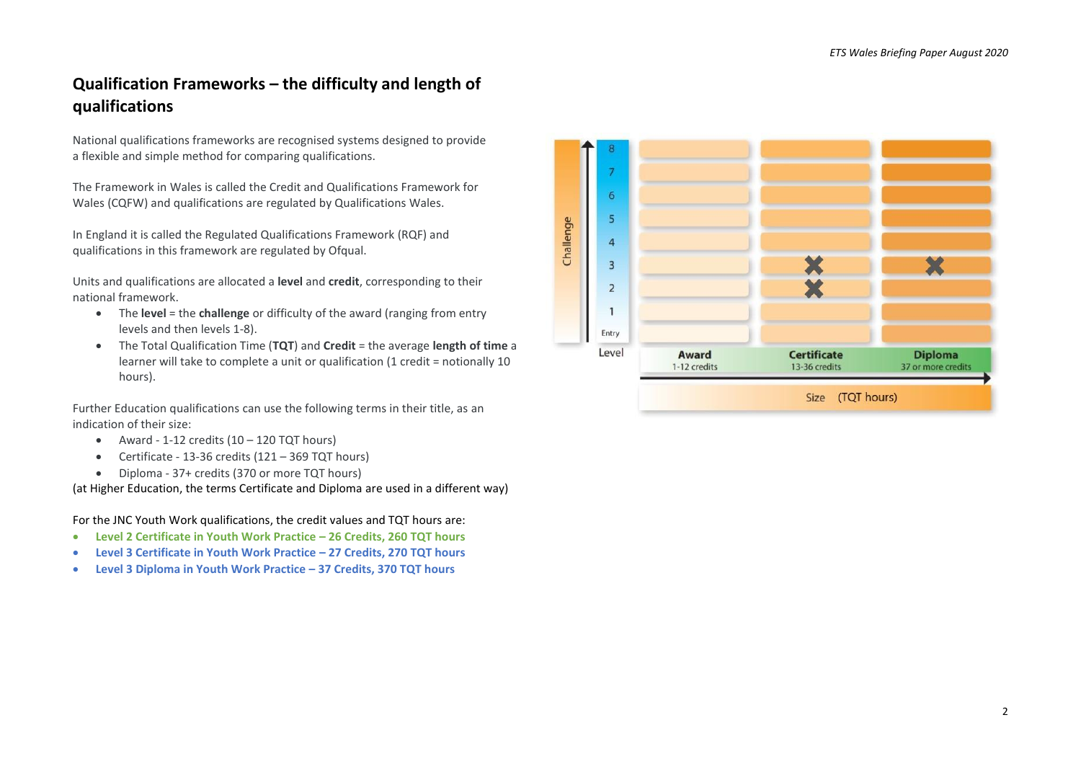# **Qualification Frameworks – the difficulty and length of qualifications**

National qualifications frameworks are recognised systems designed to provide a flexible and simple method for comparing qualifications.

The Framework in Wales is called the Credit and Qualifications Framework for Wales (CQFW) and qualifications are regulated by Qualifications Wales.

In England it is called the Regulated Qualifications Framework (RQF) and qualifications in this framework are regulated by Ofqual.

Units and qualifications are allocated a **level** and **credit**, corresponding to their national framework.

- The **level** = the **challenge** or difficulty of the award (ranging from entry levels and then levels 1-8).
- The Total Qualification Time (**TQT**) and **Credit** = the average **length of time** a learner will take to complete a unit or qualification (1 credit = notionally 10 hours).

Further Education qualifications can use the following terms in their title, as an indication of their size:

- Award 1-12 credits  $(10 120$  TQT hours)
- Certificate 13-36 credits (121 369 TQT hours)
- Diploma 37+ credits (370 or more TQT hours)

(at Higher Education, the terms Certificate and Diploma are used in a different way)

For the JNC Youth Work qualifications, the credit values and TQT hours are:

- **Level 2 Certificate in Youth Work Practice – 26 Credits, 260 TQT hours**
- **Level 3 Certificate in Youth Work Practice – 27 Credits, 270 TQT hours**
- **Level 3 Diploma in Youth Work Practice – 37 Credits, 370 TQT hours**

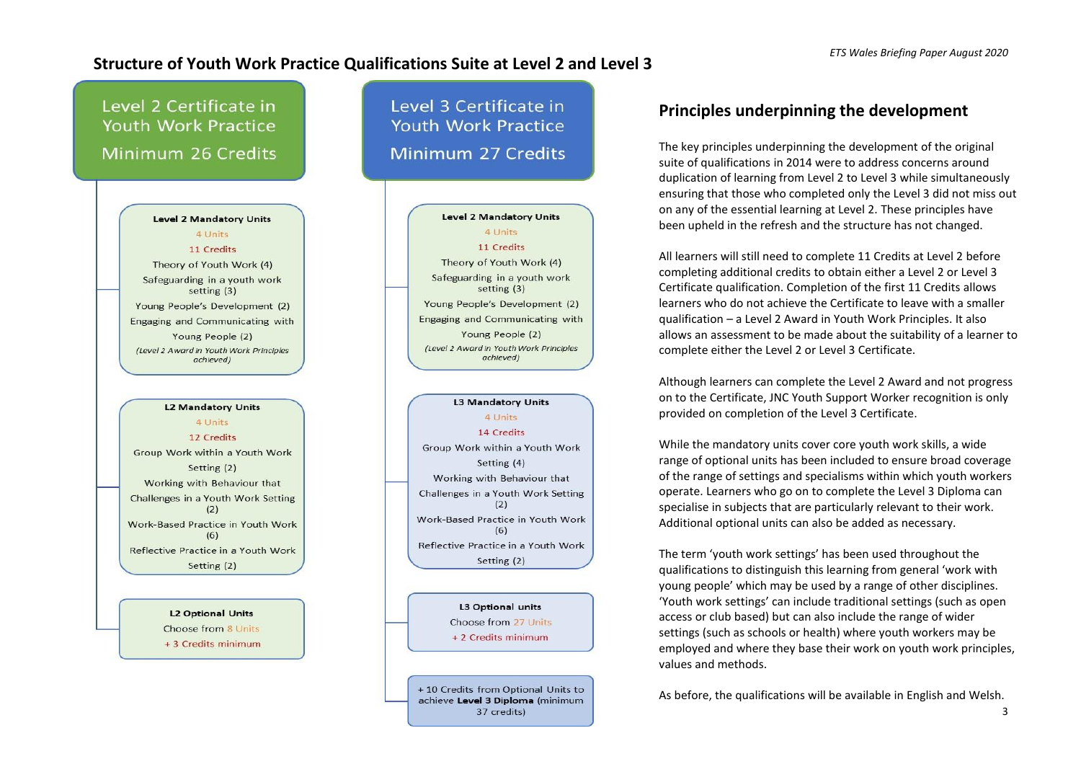### **Structure of Youth Work Practice Qualifications Suite at Level 2 and Level 3**

Level 2 Certificate in Youth Work Practice Minimum 26 Credits



Work-Based Practice in Youth Work  $(6)$ Reflective Practice in a Youth Work Setting (2)

#### **L2 Optional Units**

Choose from 8 Units + 3 Credits minimum Level 3 Certificate in **Youth Work Practice** Minimum 27 Credits



Working with Behaviour that Challenges in a Youth Work Setting

 $(2)$ Work-Based Practice in Youth Work  $(6)$ Reflective Practice in a Youth Work

Setting (2)

#### **L3 Optional units**

Choose from 27 Units

+ 2 Credits minimum

+ 10 Credits from Optional Units to achieve Level 3 Diploma (minimum 37 credits)

### **Principles underpinning the development**

The key principles underpinning the development of the original suite of qualifications in 2014 were to address concerns around duplication of learning from Level 2 to Level 3 while simultaneously ensuring that those who completed only the Level 3 did not miss out on any of the essential learning at Level 2. These principles have been upheld in the refresh and the structure has not changed.

All learners will still need to complete 11 Credits at Level 2 before completing additional credits to obtain either a Level 2 or Level 3 Certificate qualification. Completion of the first 11 Credits allows learners who do not achieve the Certificate to leave with a smaller qualification – a Level 2 Award in Youth Work Principles. It also allows an assessment to be made about the suitability of a learner to complete either the Level 2 or Level 3 Certificate.

Although learners can complete the Level 2 Award and not progress on to the Certificate, JNC Youth Support Worker recognition is only provided on completion of the Level 3 Certificate.

While the mandatory units cover core youth work skills, a wide range of optional units has been included to ensure broad coverage of the range of settings and specialisms within which youth workers operate. Learners who go on to complete the Level 3 Diploma can specialise in subjects that are particularly relevant to their work. Additional optional units can also be added as necessary.

The term 'youth work settings' has been used throughout the qualifications to distinguish this learning from general 'work with young people' which may be used by a range of other disciplines. 'Youth work settings' can include traditional settings (such as open access or club based) but can also include the range of wider settings (such as schools or health) where youth workers may be employed and where they base their work on youth work principles, values and methods.

As before, the qualifications will be available in English and Welsh.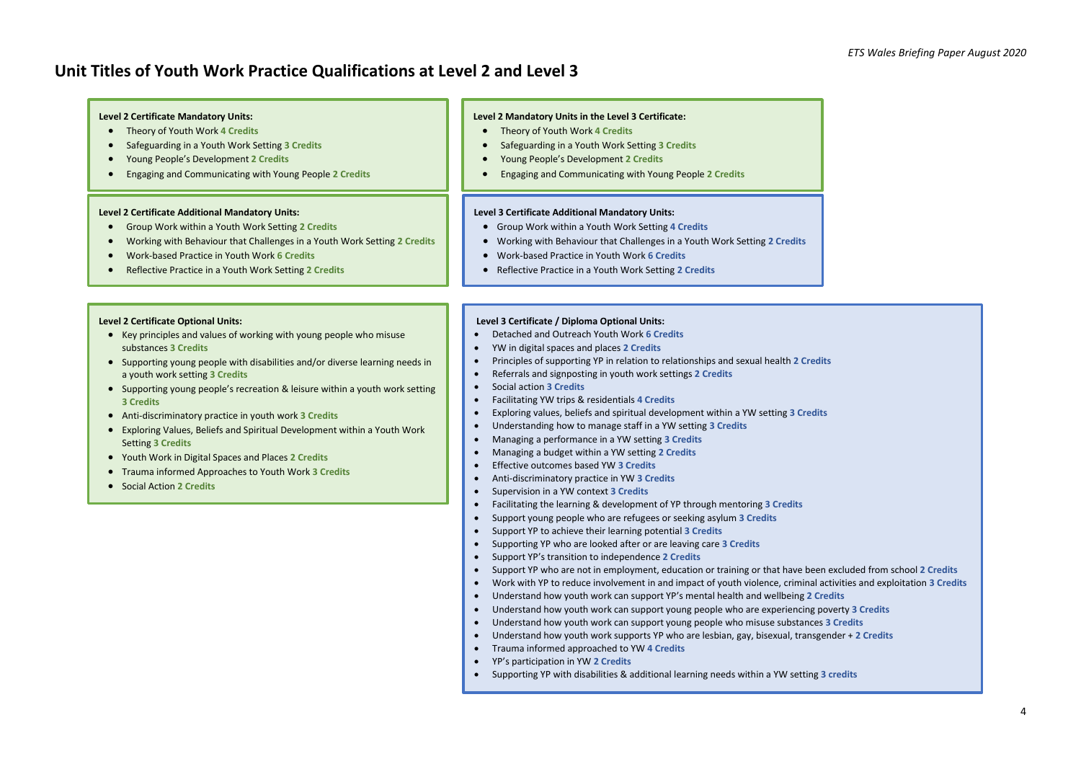### **Unit Titles of Youth Work Practice Qualifications at Level 2 and Level 3**

#### **Level 2 Certificate Mandatory Units:**

- Theory of Youth Work **4 Credits**
- Safeguarding in a Youth Work Setting **3 Credits**
- Young People's Development **2 Credits**
- Engaging and Communicating with Young People **2 Credits**

#### **Level 2 Certificate Additional Mandatory Units:**

- Group Work within a Youth Work Setting **2 Credits**
- Working with Behaviour that Challenges in a Youth Work Setting **2 Credits**
- Work-based Practice in Youth Work **6 Credits**
- Reflective Practice in a Youth Work Setting **2 Credits**

#### **Level 2 Certificate Optional Units:**

- Key principles and values of working with young people who misuse substances **3 Credits**
- Supporting young people with disabilities and/or diverse learning needs in a youth work setting **3 Credits**
- Supporting young people's recreation & leisure within a youth work setting **3 Credits**
- Anti-discriminatory practice in youth work **3 Credits**
- Exploring Values, Beliefs and Spiritual Development within a Youth Work Setting **3 Credits**
- Youth Work in Digital Spaces and Places **2 Credits**
- Trauma informed Approaches to Youth Work **3 Credits**
- Social Action **2 Credits**

#### **Level 2 Mandatory Units in the Level 3 Certificate:**

- Theory of Youth Work **4 Credits**
- Safeguarding in a Youth Work Setting **3 Credits**
- Young People's Development **2 Credits**
- Engaging and Communicating with Young People **2 Credits**

#### **Level 3 Certificate Additional Mandatory Units:**

- Group Work within a Youth Work Setting **4 Credits**
- Working with Behaviour that Challenges in a Youth Work Setting **2 Credits**
- Work-based Practice in Youth Work **6 Credits**
- Reflective Practice in a Youth Work Setting **2 Credits**

#### **Level 3 Certificate / Diploma Optional Units:**

- Detached and Outreach Youth Work **6 Credits**
- YW in digital spaces and places **2 Credits**
- Principles of supporting YP in relation to relationships and sexual health **2 Credits**
- Referrals and signposting in youth work settings **2 Credits**
- Social action **3 Credits**
- Facilitating YW trips & residentials **4 Credits**
- Exploring values, beliefs and spiritual development within a YW setting **3 Credits**
- Understanding how to manage staff in a YW setting **3 Credits**
- Managing a performance in a YW setting **3 Credits**
- Managing a budget within a YW setting **2 Credits**
- Effective outcomes based YW **3 Credits**
- Anti-discriminatory practice in YW **3 Credits**
- Supervision in a YW context **3 Credits**
- Facilitating the learning & development of YP through mentoring **3 Credits**
- Support young people who are refugees or seeking asylum **3 Credits**
- Support YP to achieve their learning potential **3 Credits**
- Supporting YP who are looked after or are leaving care **3 Credits**
- Support YP's transition to independence **2 Credits**
	- Support YP who are not in employment, education or training or that have been excluded from school **2 Credits**
- Work with YP to reduce involvement in and impact of youth violence, criminal activities and exploitation **3 Credits**
- Understand how youth work can support YP's mental health and wellbeing **2 Credits**
- Understand how youth work can support young people who are experiencing poverty **3 Credits**
- Understand how youth work can support young people who misuse substances **3 Credits**
- Understand how youth work supports YP who are lesbian, gay, bisexual, transgender + **2 Credits**
- Trauma informed approached to YW **4 Credits**
- YP's participation in YW **2 Credits**
- Supporting YP with disabilities & additional learning needs within a YW setting **3 credits**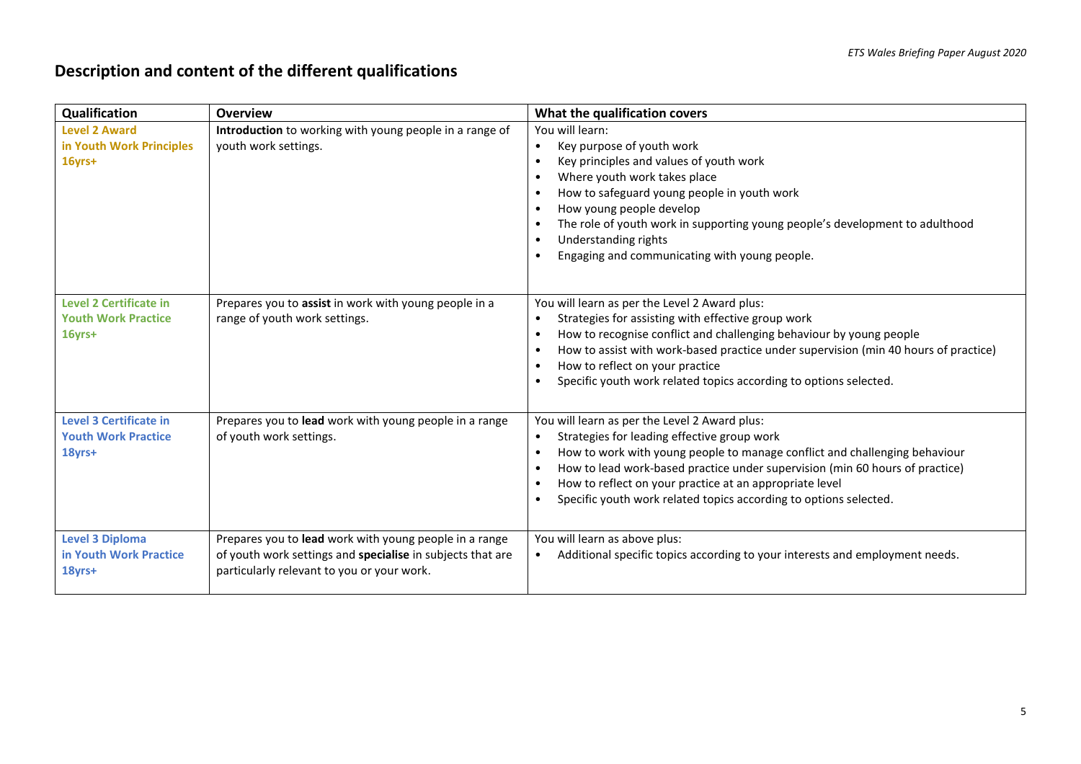# **Description and content of the different qualifications**

| Qualification                                                             | <b>Overview</b>                                                                                                                                                    | What the qualification covers                                                                                                                                                                                                                                                                                                                                                              |  |
|---------------------------------------------------------------------------|--------------------------------------------------------------------------------------------------------------------------------------------------------------------|--------------------------------------------------------------------------------------------------------------------------------------------------------------------------------------------------------------------------------------------------------------------------------------------------------------------------------------------------------------------------------------------|--|
| <b>Level 2 Award</b><br>in Youth Work Principles<br>16yrs+                | Introduction to working with young people in a range of<br>youth work settings.                                                                                    | You will learn:<br>Key purpose of youth work<br>$\bullet$<br>Key principles and values of youth work<br>Where youth work takes place<br>How to safeguard young people in youth work<br>How young people develop<br>The role of youth work in supporting young people's development to adulthood<br>Understanding rights<br>Engaging and communicating with young people.                   |  |
| <b>Level 2 Certificate in</b><br><b>Youth Work Practice</b><br>$16$ vrs + | Prepares you to assist in work with young people in a<br>range of youth work settings.                                                                             | You will learn as per the Level 2 Award plus:<br>Strategies for assisting with effective group work<br>How to recognise conflict and challenging behaviour by young people<br>$\bullet$<br>How to assist with work-based practice under supervision (min 40 hours of practice)<br>How to reflect on your practice<br>Specific youth work related topics according to options selected.     |  |
| <b>Level 3 Certificate in</b><br><b>Youth Work Practice</b><br>18yrs+     | Prepares you to lead work with young people in a range<br>of youth work settings.                                                                                  | You will learn as per the Level 2 Award plus:<br>Strategies for leading effective group work<br>How to work with young people to manage conflict and challenging behaviour<br>How to lead work-based practice under supervision (min 60 hours of practice)<br>How to reflect on your practice at an appropriate level<br>Specific youth work related topics according to options selected. |  |
| <b>Level 3 Diploma</b><br>in Youth Work Practice<br>18yrs+                | Prepares you to lead work with young people in a range<br>of youth work settings and specialise in subjects that are<br>particularly relevant to you or your work. | You will learn as above plus:<br>Additional specific topics according to your interests and employment needs.                                                                                                                                                                                                                                                                              |  |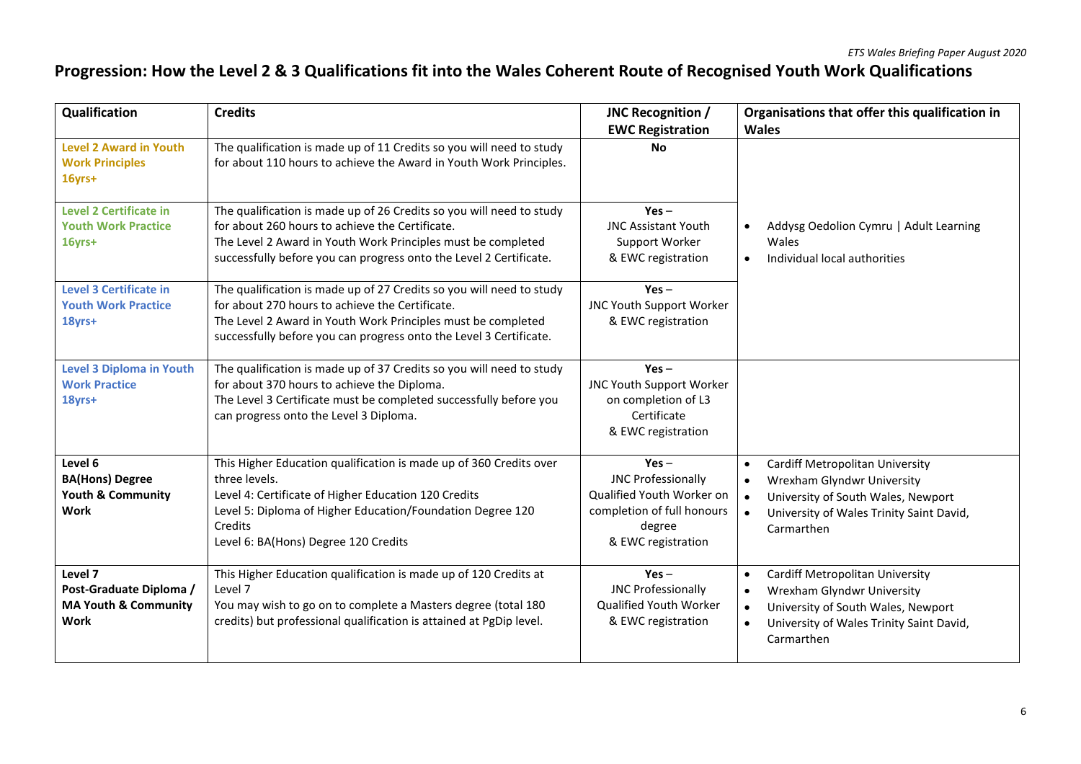# **Progression: How the Level 2 & 3 Qualifications fit into the Wales Coherent Route of Recognised Youth Work Qualifications**

| Qualification                                                                        | <b>Credits</b>                                                                                                                                                                                                                                                | JNC Recognition /<br><b>EWC Registration</b>                                                                                    | Organisations that offer this qualification in<br><b>Wales</b>                                                                                                                                                    |
|--------------------------------------------------------------------------------------|---------------------------------------------------------------------------------------------------------------------------------------------------------------------------------------------------------------------------------------------------------------|---------------------------------------------------------------------------------------------------------------------------------|-------------------------------------------------------------------------------------------------------------------------------------------------------------------------------------------------------------------|
| <b>Level 2 Award in Youth</b><br><b>Work Principles</b><br>16yrs+                    | The qualification is made up of 11 Credits so you will need to study<br>for about 110 hours to achieve the Award in Youth Work Principles.                                                                                                                    | <b>No</b>                                                                                                                       |                                                                                                                                                                                                                   |
| <b>Level 2 Certificate in</b><br><b>Youth Work Practice</b><br>16yrs+                | The qualification is made up of 26 Credits so you will need to study<br>for about 260 hours to achieve the Certificate.<br>The Level 2 Award in Youth Work Principles must be completed<br>successfully before you can progress onto the Level 2 Certificate. | $Yes -$<br><b>JNC Assistant Youth</b><br>Support Worker<br>& EWC registration                                                   | Addysg Oedolion Cymru   Adult Learning<br>Wales<br>Individual local authorities<br>$\bullet$                                                                                                                      |
| <b>Level 3 Certificate in</b><br><b>Youth Work Practice</b><br>18yrs+                | The qualification is made up of 27 Credits so you will need to study<br>for about 270 hours to achieve the Certificate.<br>The Level 2 Award in Youth Work Principles must be completed<br>successfully before you can progress onto the Level 3 Certificate. | $Yes -$<br><b>JNC Youth Support Worker</b><br>& EWC registration                                                                |                                                                                                                                                                                                                   |
| <b>Level 3 Diploma in Youth</b><br><b>Work Practice</b><br>18yrs+                    | The qualification is made up of 37 Credits so you will need to study<br>for about 370 hours to achieve the Diploma.<br>The Level 3 Certificate must be completed successfully before you<br>can progress onto the Level 3 Diploma.                            | $Yes -$<br>JNC Youth Support Worker<br>on completion of L3<br>Certificate<br>& EWC registration                                 |                                                                                                                                                                                                                   |
| Level 6<br><b>BA(Hons) Degree</b><br><b>Youth &amp; Community</b><br><b>Work</b>     | This Higher Education qualification is made up of 360 Credits over<br>three levels.<br>Level 4: Certificate of Higher Education 120 Credits<br>Level 5: Diploma of Higher Education/Foundation Degree 120<br>Credits<br>Level 6: BA(Hons) Degree 120 Credits  | $Yes -$<br><b>JNC Professionally</b><br>Qualified Youth Worker on<br>completion of full honours<br>degree<br>& EWC registration | <b>Cardiff Metropolitan University</b><br>$\bullet$<br>Wrexham Glyndwr University<br>University of South Wales, Newport<br>University of Wales Trinity Saint David,<br>Carmarthen                                 |
| Level 7<br>Post-Graduate Diploma /<br><b>MA Youth &amp; Community</b><br><b>Work</b> | This Higher Education qualification is made up of 120 Credits at<br>Level 7<br>You may wish to go on to complete a Masters degree (total 180<br>credits) but professional qualification is attained at PgDip level.                                           | $Yes -$<br><b>JNC Professionally</b><br>Qualified Youth Worker<br>& EWC registration                                            | Cardiff Metropolitan University<br>$\bullet$<br>Wrexham Glyndwr University<br>$\bullet$<br>University of South Wales, Newport<br>$\bullet$<br>University of Wales Trinity Saint David,<br>$\bullet$<br>Carmarthen |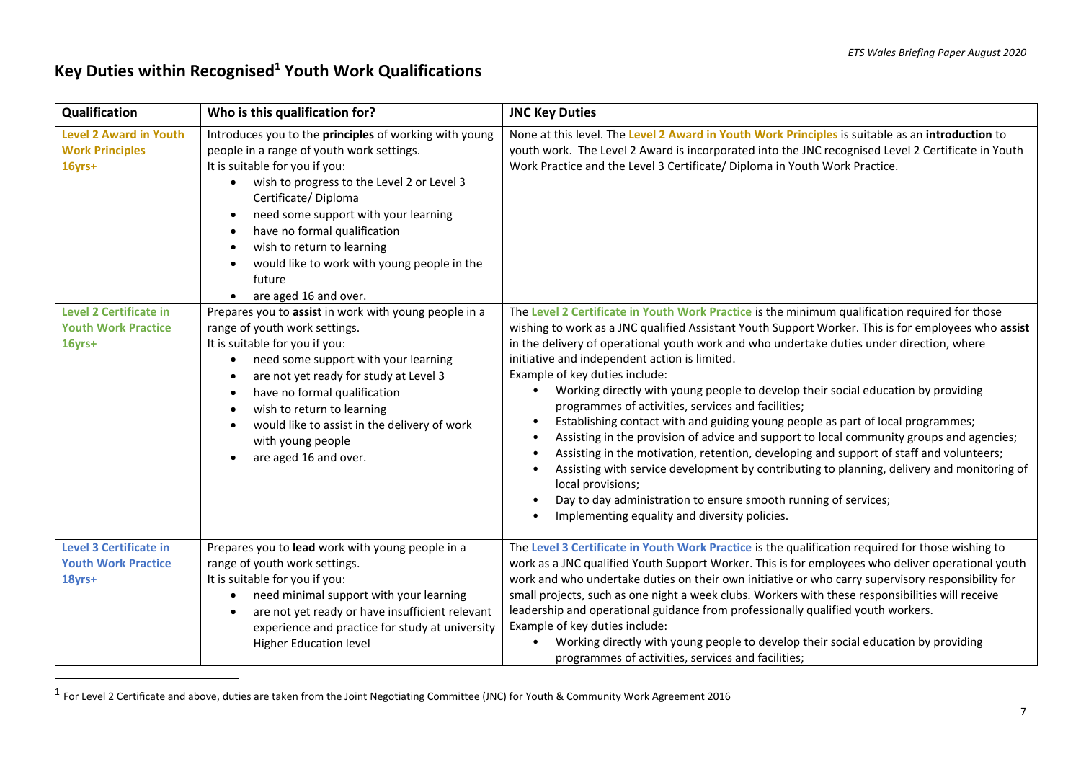# **Key Duties within Recognised <sup>1</sup> Youth Work Qualifications**

| Qualification                                                         | Who is this qualification for?                                                                                                                                                                                                                                                                                                                                                                                                                                                   | <b>JNC Key Duties</b>                                                                                                                                                                                                                                                                                                                                                                                                                                                                                                                                                                                                                                                                                                                                                                                                                                                                                                                                                                                                                                                                                                           |
|-----------------------------------------------------------------------|----------------------------------------------------------------------------------------------------------------------------------------------------------------------------------------------------------------------------------------------------------------------------------------------------------------------------------------------------------------------------------------------------------------------------------------------------------------------------------|---------------------------------------------------------------------------------------------------------------------------------------------------------------------------------------------------------------------------------------------------------------------------------------------------------------------------------------------------------------------------------------------------------------------------------------------------------------------------------------------------------------------------------------------------------------------------------------------------------------------------------------------------------------------------------------------------------------------------------------------------------------------------------------------------------------------------------------------------------------------------------------------------------------------------------------------------------------------------------------------------------------------------------------------------------------------------------------------------------------------------------|
| <b>Level 2 Award in Youth</b><br><b>Work Principles</b><br>16yrs+     | Introduces you to the principles of working with young<br>people in a range of youth work settings.<br>It is suitable for you if you:<br>wish to progress to the Level 2 or Level 3<br>$\bullet$<br>Certificate/Diploma<br>need some support with your learning<br>$\bullet$<br>have no formal qualification<br>$\bullet$<br>wish to return to learning<br>$\bullet$<br>would like to work with young people in the<br>$\bullet$<br>future<br>are aged 16 and over.<br>$\bullet$ | None at this level. The Level 2 Award in Youth Work Principles is suitable as an introduction to<br>youth work. The Level 2 Award is incorporated into the JNC recognised Level 2 Certificate in Youth<br>Work Practice and the Level 3 Certificate/ Diploma in Youth Work Practice.                                                                                                                                                                                                                                                                                                                                                                                                                                                                                                                                                                                                                                                                                                                                                                                                                                            |
| <b>Level 2 Certificate in</b><br><b>Youth Work Practice</b><br>16yrs+ | Prepares you to assist in work with young people in a<br>range of youth work settings.<br>It is suitable for you if you:<br>need some support with your learning<br>$\bullet$<br>are not yet ready for study at Level 3<br>$\bullet$<br>have no formal qualification<br>$\bullet$<br>wish to return to learning<br>$\bullet$<br>would like to assist in the delivery of work<br>$\bullet$<br>with young people<br>are aged 16 and over.                                          | The Level 2 Certificate in Youth Work Practice is the minimum qualification required for those<br>wishing to work as a JNC qualified Assistant Youth Support Worker. This is for employees who assist<br>in the delivery of operational youth work and who undertake duties under direction, where<br>initiative and independent action is limited.<br>Example of key duties include:<br>Working directly with young people to develop their social education by providing<br>$\bullet$<br>programmes of activities, services and facilities;<br>Establishing contact with and guiding young people as part of local programmes;<br>$\bullet$<br>Assisting in the provision of advice and support to local community groups and agencies;<br>$\bullet$<br>Assisting in the motivation, retention, developing and support of staff and volunteers;<br>$\bullet$<br>Assisting with service development by contributing to planning, delivery and monitoring of<br>$\bullet$<br>local provisions;<br>Day to day administration to ensure smooth running of services;<br>$\bullet$<br>Implementing equality and diversity policies. |
| <b>Level 3 Certificate in</b><br><b>Youth Work Practice</b><br>18yrs+ | Prepares you to lead work with young people in a<br>range of youth work settings.<br>It is suitable for you if you:<br>need minimal support with your learning<br>$\bullet$<br>are not yet ready or have insufficient relevant<br>$\bullet$<br>experience and practice for study at university<br><b>Higher Education level</b>                                                                                                                                                  | The Level 3 Certificate in Youth Work Practice is the qualification required for those wishing to<br>work as a JNC qualified Youth Support Worker. This is for employees who deliver operational youth<br>work and who undertake duties on their own initiative or who carry supervisory responsibility for<br>small projects, such as one night a week clubs. Workers with these responsibilities will receive<br>leadership and operational guidance from professionally qualified youth workers.<br>Example of key duties include:<br>Working directly with young people to develop their social education by providing<br>programmes of activities, services and facilities;                                                                                                                                                                                                                                                                                                                                                                                                                                                |

<sup>&</sup>lt;sup>1</sup> For Level 2 Certificate and above, duties are taken from the Joint Negotiating Committee (JNC) for Youth & Community Work Agreement 2016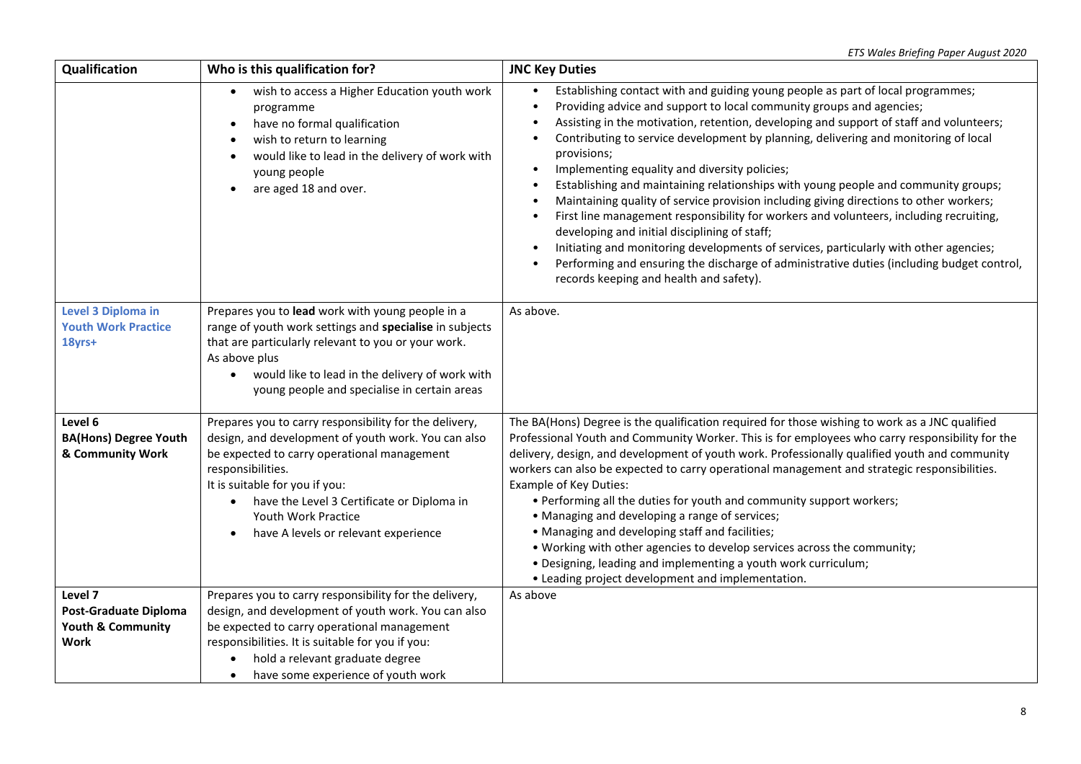| Qualification                                                     | Who is this qualification for?                                                                                                                                                                                                                                                                                                                | <b>JNC Key Duties</b>                                                                                                                                                                                                                                                                                                                                                                                                                                                                                                                                                                                                                                                                                                                                                                                                                                                                                                                                                                                                     |  |
|-------------------------------------------------------------------|-----------------------------------------------------------------------------------------------------------------------------------------------------------------------------------------------------------------------------------------------------------------------------------------------------------------------------------------------|---------------------------------------------------------------------------------------------------------------------------------------------------------------------------------------------------------------------------------------------------------------------------------------------------------------------------------------------------------------------------------------------------------------------------------------------------------------------------------------------------------------------------------------------------------------------------------------------------------------------------------------------------------------------------------------------------------------------------------------------------------------------------------------------------------------------------------------------------------------------------------------------------------------------------------------------------------------------------------------------------------------------------|--|
|                                                                   | wish to access a Higher Education youth work<br>$\bullet$<br>programme<br>have no formal qualification<br>$\bullet$<br>wish to return to learning<br>$\bullet$<br>would like to lead in the delivery of work with<br>$\bullet$<br>young people<br>are aged 18 and over.<br>$\bullet$                                                          | Establishing contact with and guiding young people as part of local programmes;<br>Providing advice and support to local community groups and agencies;<br>Assisting in the motivation, retention, developing and support of staff and volunteers;<br>Contributing to service development by planning, delivering and monitoring of local<br>provisions;<br>Implementing equality and diversity policies;<br>$\bullet$<br>Establishing and maintaining relationships with young people and community groups;<br>$\bullet$<br>Maintaining quality of service provision including giving directions to other workers;<br>$\bullet$<br>First line management responsibility for workers and volunteers, including recruiting,<br>$\bullet$<br>developing and initial disciplining of staff;<br>Initiating and monitoring developments of services, particularly with other agencies;<br>Performing and ensuring the discharge of administrative duties (including budget control,<br>records keeping and health and safety). |  |
| <b>Level 3 Diploma in</b><br><b>Youth Work Practice</b><br>18yrs+ | Prepares you to lead work with young people in a<br>range of youth work settings and specialise in subjects<br>that are particularly relevant to you or your work.<br>As above plus<br>would like to lead in the delivery of work with<br>$\bullet$<br>young people and specialise in certain areas                                           | As above.                                                                                                                                                                                                                                                                                                                                                                                                                                                                                                                                                                                                                                                                                                                                                                                                                                                                                                                                                                                                                 |  |
| Level 6<br><b>BA(Hons) Degree Youth</b><br>& Community Work       | Prepares you to carry responsibility for the delivery,<br>design, and development of youth work. You can also<br>be expected to carry operational management<br>responsibilities.<br>It is suitable for you if you:<br>have the Level 3 Certificate or Diploma in<br>Youth Work Practice<br>have A levels or relevant experience<br>$\bullet$ | The BA(Hons) Degree is the qualification required for those wishing to work as a JNC qualified<br>Professional Youth and Community Worker. This is for employees who carry responsibility for the<br>delivery, design, and development of youth work. Professionally qualified youth and community<br>workers can also be expected to carry operational management and strategic responsibilities.<br><b>Example of Key Duties:</b><br>• Performing all the duties for youth and community support workers;<br>• Managing and developing a range of services;<br>• Managing and developing staff and facilities;<br>• Working with other agencies to develop services across the community;<br>. Designing, leading and implementing a youth work curriculum;<br>• Leading project development and implementation.                                                                                                                                                                                                        |  |
| Level 7<br>Post-Graduate Diploma<br>Youth & Community<br>Work     | Prepares you to carry responsibility for the delivery,<br>design, and development of youth work. You can also<br>be expected to carry operational management<br>responsibilities. It is suitable for you if you:<br>hold a relevant graduate degree<br>have some experience of youth work<br>$\bullet$                                        | As above                                                                                                                                                                                                                                                                                                                                                                                                                                                                                                                                                                                                                                                                                                                                                                                                                                                                                                                                                                                                                  |  |